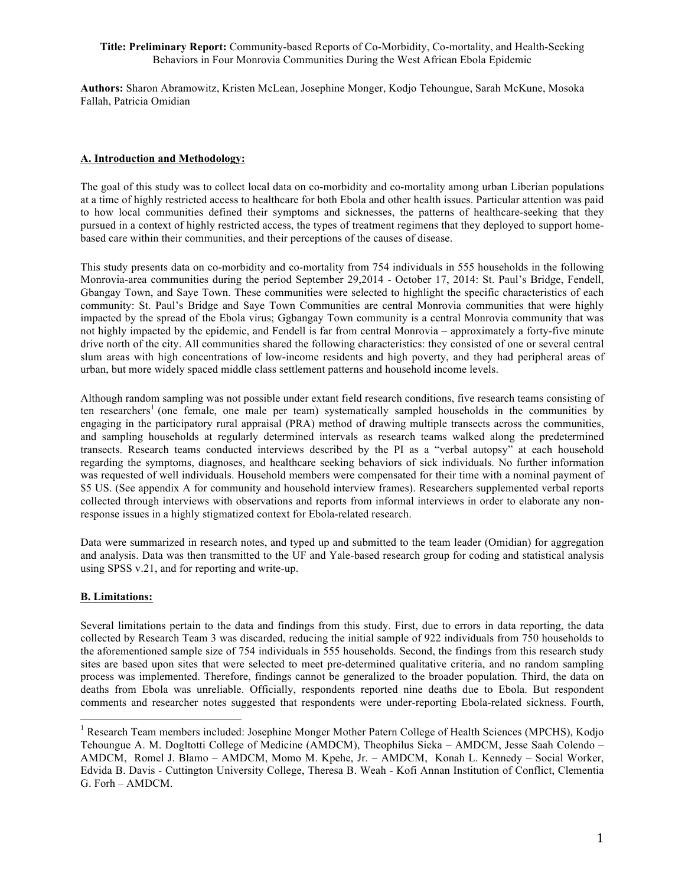**Authors:** Sharon Abramowitz, Kristen McLean, Josephine Monger, Kodjo Tehoungue, Sarah McKune, Mosoka Fallah, Patricia Omidian

#### **A. Introduction and Methodology:**

The goal of this study was to collect local data on co-morbidity and co-mortality among urban Liberian populations at a time of highly restricted access to healthcare for both Ebola and other health issues. Particular attention was paid to how local communities defined their symptoms and sicknesses, the patterns of healthcare-seeking that they pursued in a context of highly restricted access, the types of treatment regimens that they deployed to support homebased care within their communities, and their perceptions of the causes of disease.

This study presents data on co-morbidity and co-mortality from 754 individuals in 555 households in the following Monrovia-area communities during the period September 29,2014 - October 17, 2014: St. Paul's Bridge, Fendell, Gbangay Town, and Saye Town. These communities were selected to highlight the specific characteristics of each community: St. Paul's Bridge and Saye Town Communities are central Monrovia communities that were highly impacted by the spread of the Ebola virus; Ggbangay Town community is a central Monrovia community that was not highly impacted by the epidemic, and Fendell is far from central Monrovia – approximately a forty-five minute drive north of the city. All communities shared the following characteristics: they consisted of one or several central slum areas with high concentrations of low-income residents and high poverty, and they had peripheral areas of urban, but more widely spaced middle class settlement patterns and household income levels.

Although random sampling was not possible under extant field research conditions, five research teams consisting of ten researchers<sup>1</sup> (one female, one male per team) systematically sampled households in the communities by engaging in the participatory rural appraisal (PRA) method of drawing multiple transects across the communities, and sampling households at regularly determined intervals as research teams walked along the predetermined transects. Research teams conducted interviews described by the PI as a "verbal autopsy" at each household regarding the symptoms, diagnoses, and healthcare seeking behaviors of sick individuals. No further information was requested of well individuals. Household members were compensated for their time with a nominal payment of \$5 US. (See appendix A for community and household interview frames). Researchers supplemented verbal reports collected through interviews with observations and reports from informal interviews in order to elaborate any nonresponse issues in a highly stigmatized context for Ebola-related research.

Data were summarized in research notes, and typed up and submitted to the team leader (Omidian) for aggregation and analysis. Data was then transmitted to the UF and Yale-based research group for coding and statistical analysis using SPSS v.21, and for reporting and write-up.

## **B. Limitations:**

Several limitations pertain to the data and findings from this study. First, due to errors in data reporting, the data collected by Research Team 3 was discarded, reducing the initial sample of 922 individuals from 750 households to the aforementioned sample size of 754 individuals in 555 households. Second, the findings from this research study sites are based upon sites that were selected to meet pre-determined qualitative criteria, and no random sampling process was implemented. Therefore, findings cannot be generalized to the broader population. Third, the data on deaths from Ebola was unreliable. Officially, respondents reported nine deaths due to Ebola. But respondent comments and researcher notes suggested that respondents were under-reporting Ebola-related sickness. Fourth,

<sup>&</sup>lt;sup>1</sup> Research Team members included: Josephine Monger Mother Patern College of Health Sciences (MPCHS), Kodjo Tehoungue A. M. Dogltotti College of Medicine (AMDCM), Theophilus Sieka – AMDCM, Jesse Saah Colendo – AMDCM, Romel J. Blamo – AMDCM, Momo M. Kpehe, Jr. – AMDCM, Konah L. Kennedy – Social Worker, Edvida B. Davis - Cuttington University College, Theresa B. Weah - Kofi Annan Institution of Conflict, Clementia G. Forh – AMDCM.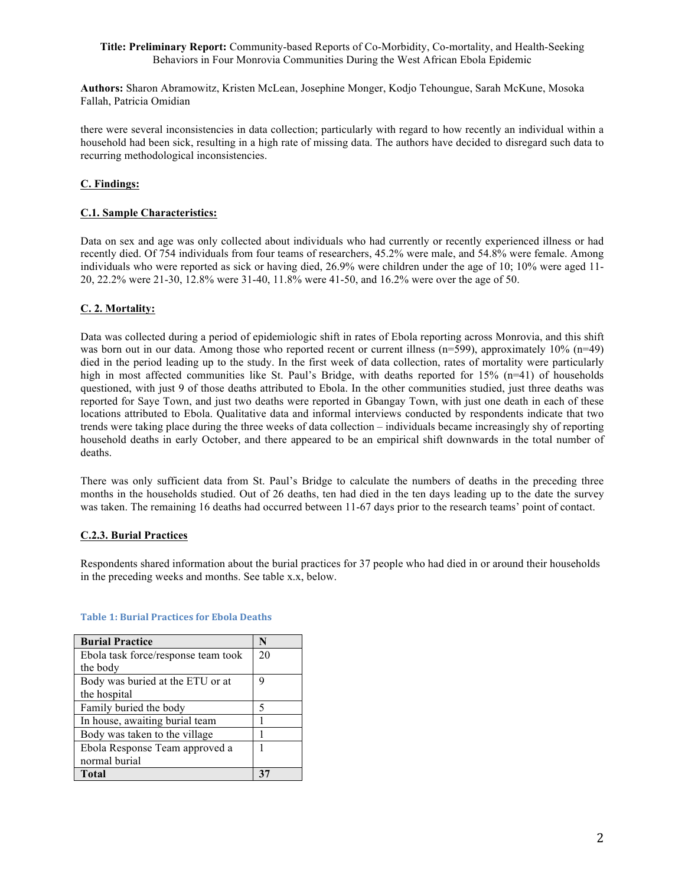**Authors:** Sharon Abramowitz, Kristen McLean, Josephine Monger, Kodjo Tehoungue, Sarah McKune, Mosoka Fallah, Patricia Omidian

there were several inconsistencies in data collection; particularly with regard to how recently an individual within a household had been sick, resulting in a high rate of missing data. The authors have decided to disregard such data to recurring methodological inconsistencies.

## **C. Findings:**

## **C.1. Sample Characteristics:**

Data on sex and age was only collected about individuals who had currently or recently experienced illness or had recently died. Of 754 individuals from four teams of researchers, 45.2% were male, and 54.8% were female. Among individuals who were reported as sick or having died, 26.9% were children under the age of 10; 10% were aged 11- 20, 22.2% were 21-30, 12.8% were 31-40, 11.8% were 41-50, and 16.2% were over the age of 50.

## **C. 2. Mortality:**

Data was collected during a period of epidemiologic shift in rates of Ebola reporting across Monrovia, and this shift was born out in our data. Among those who reported recent or current illness (n=599), approximately 10% (n=49) died in the period leading up to the study. In the first week of data collection, rates of mortality were particularly high in most affected communities like St. Paul's Bridge, with deaths reported for 15% (n=41) of households questioned, with just 9 of those deaths attributed to Ebola. In the other communities studied, just three deaths was reported for Saye Town, and just two deaths were reported in Gbangay Town, with just one death in each of these locations attributed to Ebola. Qualitative data and informal interviews conducted by respondents indicate that two trends were taking place during the three weeks of data collection – individuals became increasingly shy of reporting household deaths in early October, and there appeared to be an empirical shift downwards in the total number of deaths.

There was only sufficient data from St. Paul's Bridge to calculate the numbers of deaths in the preceding three months in the households studied. Out of 26 deaths, ten had died in the ten days leading up to the date the survey was taken. The remaining 16 deaths had occurred between 11-67 days prior to the research teams' point of contact.

## **C.2.3. Burial Practices**

Respondents shared information about the burial practices for 37 people who had died in or around their households in the preceding weeks and months. See table x.x, below.

| <b>Burial Practice</b>              | N  |
|-------------------------------------|----|
| Ebola task force/response team took | 20 |
| the body                            |    |
| Body was buried at the ETU or at    | 9  |
| the hospital                        |    |
| Family buried the body              | 5  |
| In house, awaiting burial team      |    |
| Body was taken to the village       |    |
| Ebola Response Team approved a      |    |
| normal burial                       |    |
| <b>Total</b>                        |    |

#### **Table 1: Burial Practices for Ebola Deaths**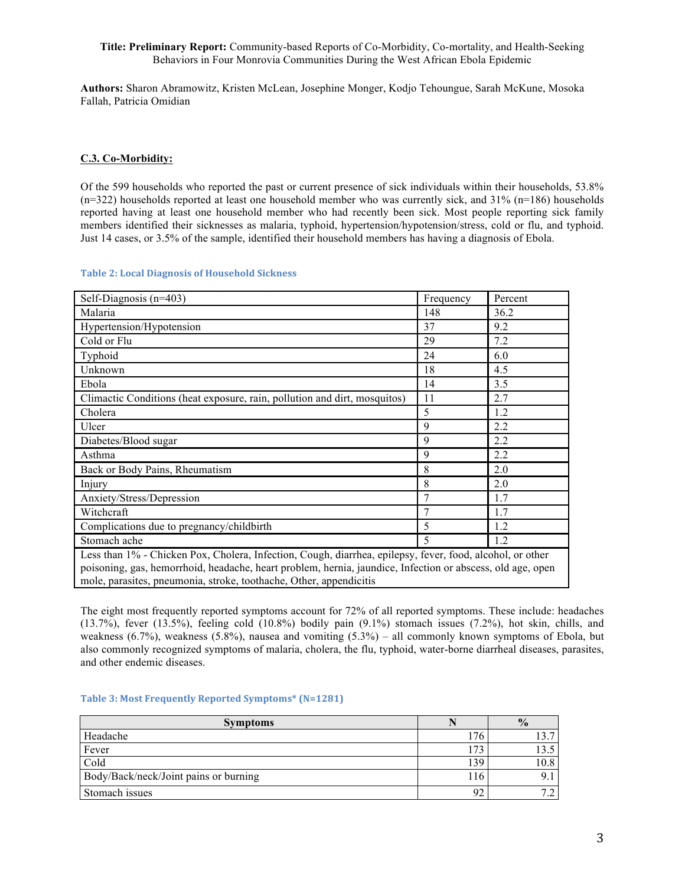**Authors:** Sharon Abramowitz, Kristen McLean, Josephine Monger, Kodjo Tehoungue, Sarah McKune, Mosoka Fallah, Patricia Omidian

### **C.3. Co-Morbidity:**

Of the 599 households who reported the past or current presence of sick individuals within their households, 53.8%  $(n=322)$  households reported at least one household member who was currently sick, and  $31\%$  (n=186) households reported having at least one household member who had recently been sick. Most people reporting sick family members identified their sicknesses as malaria, typhoid, hypertension/hypotension/stress, cold or flu, and typhoid. Just 14 cases, or 3.5% of the sample, identified their household members has having a diagnosis of Ebola.

### **Table 2: Local Diagnosis of Household Sickness**

| Self-Diagnosis $(n=403)$                                                                                                                                                                                                                                                                      | Frequency | Percent |
|-----------------------------------------------------------------------------------------------------------------------------------------------------------------------------------------------------------------------------------------------------------------------------------------------|-----------|---------|
| Malaria                                                                                                                                                                                                                                                                                       | 148       | 36.2    |
| Hypertension/Hypotension                                                                                                                                                                                                                                                                      | 37        | 9.2     |
| Cold or Flu                                                                                                                                                                                                                                                                                   | 29        | 7.2     |
| Typhoid                                                                                                                                                                                                                                                                                       | 24        | 6.0     |
| Unknown                                                                                                                                                                                                                                                                                       | 18        | 4.5     |
| Ebola                                                                                                                                                                                                                                                                                         | 14        | 3.5     |
| Climactic Conditions (heat exposure, rain, pollution and dirt, mosquitos)                                                                                                                                                                                                                     | 11        | 2.7     |
| Cholera                                                                                                                                                                                                                                                                                       | 5         | 1.2     |
| Ulcer                                                                                                                                                                                                                                                                                         | 9         | 2.2     |
| Diabetes/Blood sugar                                                                                                                                                                                                                                                                          | 9         | 2.2     |
| Asthma                                                                                                                                                                                                                                                                                        | 9         | 2.2     |
| Back or Body Pains, Rheumatism                                                                                                                                                                                                                                                                | 8         | 2.0     |
| Injury                                                                                                                                                                                                                                                                                        | 8         | 2.0     |
| Anxiety/Stress/Depression                                                                                                                                                                                                                                                                     | 7         | 1.7     |
| Witchcraft                                                                                                                                                                                                                                                                                    |           | 1.7     |
| Complications due to pregnancy/childbirth                                                                                                                                                                                                                                                     | 5         | 1.2     |
| Stomach ache                                                                                                                                                                                                                                                                                  | 5         | 1.2     |
| Less than 1% - Chicken Pox, Cholera, Infection, Cough, diarrhea, epilepsy, fever, food, alcohol, or other<br>poisoning, gas, hemorrhoid, headache, heart problem, hernia, jaundice, Infection or abscess, old age, open<br>mole, parasites, pneumonia, stroke, toothache, Other, appendicitis |           |         |

The eight most frequently reported symptoms account for 72% of all reported symptoms. These include: headaches (13.7%), fever (13.5%), feeling cold (10.8%) bodily pain (9.1%) stomach issues (7.2%), hot skin, chills, and weakness (6.7%), weakness (5.8%), nausea and vomiting (5.3%) – all commonly known symptoms of Ebola, but also commonly recognized symptoms of malaria, cholera, the flu, typhoid, water-borne diarrheal diseases, parasites, and other endemic diseases.

## **Table 3: Most Frequently Reported Symptoms\* (N=1281)**

| <b>Symptoms</b>                       |             | $\frac{1}{2}$ |
|---------------------------------------|-------------|---------------|
| Headache                              | .76         | l 3.7         |
| Fever                                 | $7^{\circ}$ | 13.5          |
| Cold                                  | 139         | 10.8          |
| Body/Back/neck/Joint pains or burning | . 16        | 9.1           |
| Stomach issues                        | 92          |               |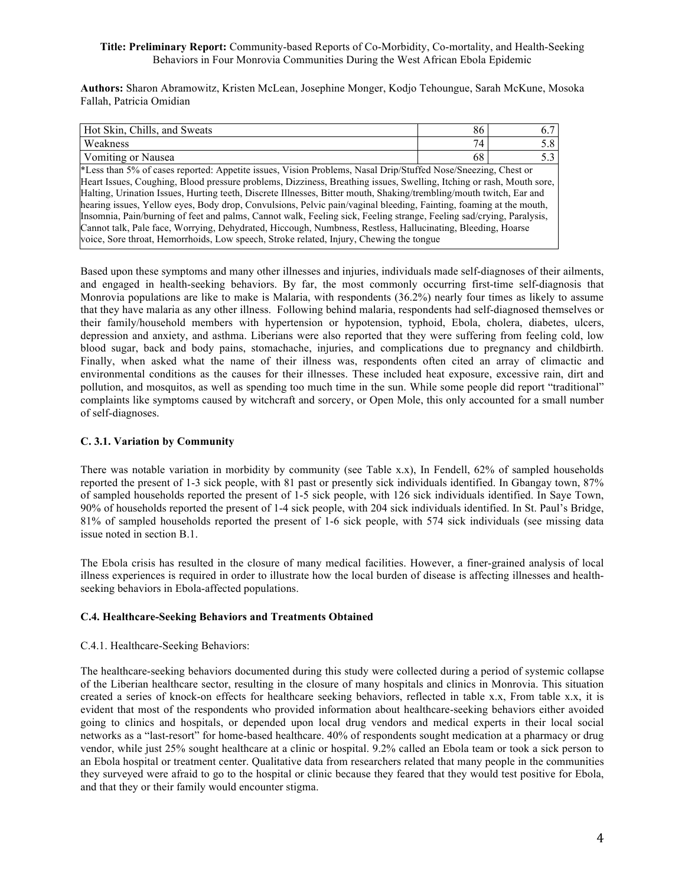**Authors:** Sharon Abramowitz, Kristen McLean, Josephine Monger, Kodjo Tehoungue, Sarah McKune, Mosoka Fallah, Patricia Omidian

| Hot Skin, Chills, and Sweats                                                                                                                                                                                                                                                                                                                                                                                                                                                                                                                                                                                                                                                                                              | 86 | 6.7 |
|---------------------------------------------------------------------------------------------------------------------------------------------------------------------------------------------------------------------------------------------------------------------------------------------------------------------------------------------------------------------------------------------------------------------------------------------------------------------------------------------------------------------------------------------------------------------------------------------------------------------------------------------------------------------------------------------------------------------------|----|-----|
| Weakness                                                                                                                                                                                                                                                                                                                                                                                                                                                                                                                                                                                                                                                                                                                  | 74 | 5.8 |
| Vomiting or Nausea                                                                                                                                                                                                                                                                                                                                                                                                                                                                                                                                                                                                                                                                                                        | 68 | 5.3 |
| *Less than 5% of cases reported: Appetite issues, Vision Problems, Nasal Drip/Stuffed Nose/Sneezing, Chest or<br>Heart Issues, Coughing, Blood pressure problems, Dizziness, Breathing issues, Swelling, Itching or rash, Mouth sore,<br>Halting, Urination Issues, Hurting teeth, Discrete Illnesses, Bitter mouth, Shaking/trembling/mouth twitch, Ear and<br>hearing issues, Yellow eyes, Body drop, Convulsions, Pelvic pain/vaginal bleeding, Fainting, foaming at the mouth,<br>Insomnia, Pain/burning of feet and palms, Cannot walk, Feeling sick, Feeling strange, Feeling sad/crying, Paralysis,<br>Cannot talk, Pale face, Worrying, Dehydrated, Hiccough, Numbness, Restless, Hallucinating, Bleeding, Hoarse |    |     |
| voice, Sore throat, Hemorrhoids, Low speech, Stroke related, Injury, Chewing the tongue                                                                                                                                                                                                                                                                                                                                                                                                                                                                                                                                                                                                                                   |    |     |
|                                                                                                                                                                                                                                                                                                                                                                                                                                                                                                                                                                                                                                                                                                                           |    |     |

Based upon these symptoms and many other illnesses and injuries, individuals made self-diagnoses of their ailments, and engaged in health-seeking behaviors. By far, the most commonly occurring first-time self-diagnosis that Monrovia populations are like to make is Malaria, with respondents (36.2%) nearly four times as likely to assume that they have malaria as any other illness. Following behind malaria, respondents had self-diagnosed themselves or their family/household members with hypertension or hypotension, typhoid, Ebola, cholera, diabetes, ulcers, depression and anxiety, and asthma. Liberians were also reported that they were suffering from feeling cold, low blood sugar, back and body pains, stomachache, injuries, and complications due to pregnancy and childbirth. Finally, when asked what the name of their illness was, respondents often cited an array of climactic and environmental conditions as the causes for their illnesses. These included heat exposure, excessive rain, dirt and pollution, and mosquitos, as well as spending too much time in the sun. While some people did report "traditional" complaints like symptoms caused by witchcraft and sorcery, or Open Mole, this only accounted for a small number of self-diagnoses.

## **C. 3.1. Variation by Community**

There was notable variation in morbidity by community (see Table x.x), In Fendell, 62% of sampled households reported the present of 1-3 sick people, with 81 past or presently sick individuals identified. In Gbangay town, 87% of sampled households reported the present of 1-5 sick people, with 126 sick individuals identified. In Saye Town, 90% of households reported the present of 1-4 sick people, with 204 sick individuals identified. In St. Paul's Bridge, 81% of sampled households reported the present of 1-6 sick people, with 574 sick individuals (see missing data issue noted in section B.1.

The Ebola crisis has resulted in the closure of many medical facilities. However, a finer-grained analysis of local illness experiences is required in order to illustrate how the local burden of disease is affecting illnesses and healthseeking behaviors in Ebola-affected populations.

## **C.4. Healthcare-Seeking Behaviors and Treatments Obtained**

## C.4.1. Healthcare-Seeking Behaviors:

The healthcare-seeking behaviors documented during this study were collected during a period of systemic collapse of the Liberian healthcare sector, resulting in the closure of many hospitals and clinics in Monrovia. This situation created a series of knock-on effects for healthcare seeking behaviors, reflected in table x.x, From table x.x, it is evident that most of the respondents who provided information about healthcare-seeking behaviors either avoided going to clinics and hospitals, or depended upon local drug vendors and medical experts in their local social networks as a "last-resort" for home-based healthcare. 40% of respondents sought medication at a pharmacy or drug vendor, while just 25% sought healthcare at a clinic or hospital. 9.2% called an Ebola team or took a sick person to an Ebola hospital or treatment center. Qualitative data from researchers related that many people in the communities they surveyed were afraid to go to the hospital or clinic because they feared that they would test positive for Ebola, and that they or their family would encounter stigma.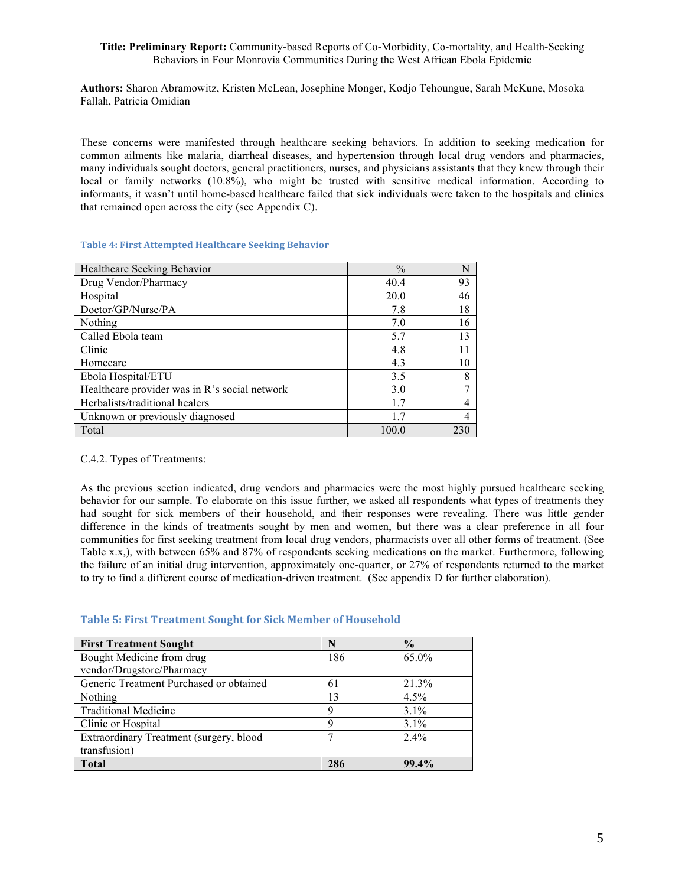**Authors:** Sharon Abramowitz, Kristen McLean, Josephine Monger, Kodjo Tehoungue, Sarah McKune, Mosoka Fallah, Patricia Omidian

These concerns were manifested through healthcare seeking behaviors. In addition to seeking medication for common ailments like malaria, diarrheal diseases, and hypertension through local drug vendors and pharmacies, many individuals sought doctors, general practitioners, nurses, and physicians assistants that they knew through their local or family networks (10.8%), who might be trusted with sensitive medical information. According to informants, it wasn't until home-based healthcare failed that sick individuals were taken to the hospitals and clinics that remained open across the city (see Appendix C).

## **Table 4: First Attempted Healthcare Seeking Behavior**

| Healthcare Seeking Behavior                   | $\frac{0}{0}$ | N   |
|-----------------------------------------------|---------------|-----|
| Drug Vendor/Pharmacy                          | 40.4          | 93  |
| Hospital                                      | 20.0          | 46  |
| Doctor/GP/Nurse/PA                            | 7.8           | 18  |
| Nothing                                       | 7.0           | 16  |
| Called Ebola team                             | 5.7           | 13  |
| Clinic                                        | 4.8           | 11  |
| Homecare                                      | 4.3           | 10  |
| Ebola Hospital/ETU                            | 3.5           | 8   |
| Healthcare provider was in R's social network | 3.0           |     |
| Herbalists/traditional healers                | 17            |     |
| Unknown or previously diagnosed               | 1.7           |     |
| Total                                         | 100.0         | 230 |

#### C.4.2. Types of Treatments:

As the previous section indicated, drug vendors and pharmacies were the most highly pursued healthcare seeking behavior for our sample. To elaborate on this issue further, we asked all respondents what types of treatments they had sought for sick members of their household, and their responses were revealing. There was little gender difference in the kinds of treatments sought by men and women, but there was a clear preference in all four communities for first seeking treatment from local drug vendors, pharmacists over all other forms of treatment. (See Table x.x,), with between 65% and 87% of respondents seeking medications on the market. Furthermore, following the failure of an initial drug intervention, approximately one-quarter, or 27% of respondents returned to the market to try to find a different course of medication-driven treatment. (See appendix D for further elaboration).

#### **Table 5: First Treatment Sought for Sick Member of Household**

| <b>First Treatment Sought</b>           | N   | $\frac{0}{0}$ |
|-----------------------------------------|-----|---------------|
| Bought Medicine from drug               | 186 | 65.0%         |
| vendor/Drugstore/Pharmacy               |     |               |
| Generic Treatment Purchased or obtained | 61  | 21.3%         |
| Nothing                                 | 13  | 4.5%          |
| <b>Traditional Medicine</b>             | 9   | $3.1\%$       |
| Clinic or Hospital                      | 9   | $3.1\%$       |
| Extraordinary Treatment (surgery, blood | 7   | $2.4\%$       |
| transfusion)                            |     |               |
| Total                                   | 286 | 99.4%         |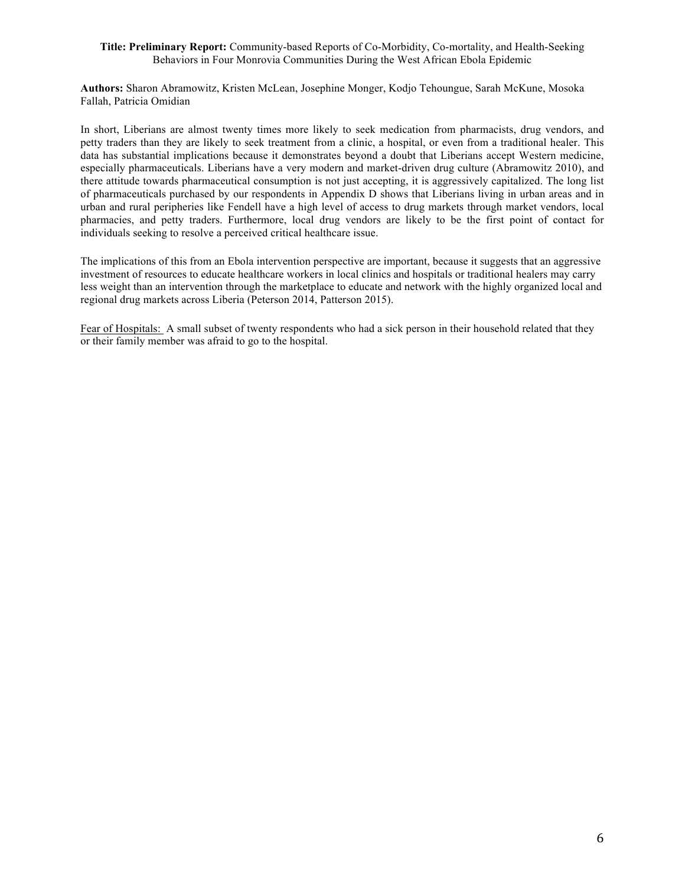**Authors:** Sharon Abramowitz, Kristen McLean, Josephine Monger, Kodjo Tehoungue, Sarah McKune, Mosoka Fallah, Patricia Omidian

In short, Liberians are almost twenty times more likely to seek medication from pharmacists, drug vendors, and petty traders than they are likely to seek treatment from a clinic, a hospital, or even from a traditional healer. This data has substantial implications because it demonstrates beyond a doubt that Liberians accept Western medicine, especially pharmaceuticals. Liberians have a very modern and market-driven drug culture (Abramowitz 2010), and there attitude towards pharmaceutical consumption is not just accepting, it is aggressively capitalized. The long list of pharmaceuticals purchased by our respondents in Appendix D shows that Liberians living in urban areas and in urban and rural peripheries like Fendell have a high level of access to drug markets through market vendors, local pharmacies, and petty traders. Furthermore, local drug vendors are likely to be the first point of contact for individuals seeking to resolve a perceived critical healthcare issue.

The implications of this from an Ebola intervention perspective are important, because it suggests that an aggressive investment of resources to educate healthcare workers in local clinics and hospitals or traditional healers may carry less weight than an intervention through the marketplace to educate and network with the highly organized local and regional drug markets across Liberia (Peterson 2014, Patterson 2015).

Fear of Hospitals: A small subset of twenty respondents who had a sick person in their household related that they or their family member was afraid to go to the hospital.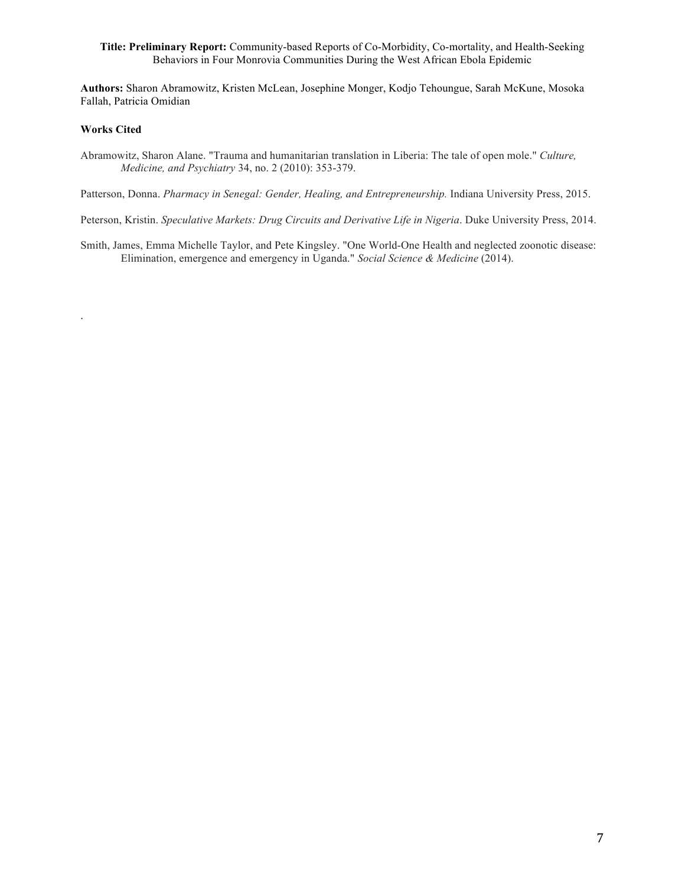**Authors:** Sharon Abramowitz, Kristen McLean, Josephine Monger, Kodjo Tehoungue, Sarah McKune, Mosoka Fallah, Patricia Omidian

#### **Works Cited**

.

Abramowitz, Sharon Alane. "Trauma and humanitarian translation in Liberia: The tale of open mole." *Culture, Medicine, and Psychiatry* 34, no. 2 (2010): 353-379.

Patterson, Donna. *Pharmacy in Senegal: Gender, Healing, and Entrepreneurship*. Indiana University Press, 2015.

Peterson, Kristin. *Speculative Markets: Drug Circuits and Derivative Life in Nigeria*. Duke University Press, 2014.

Smith, James, Emma Michelle Taylor, and Pete Kingsley. "One World-One Health and neglected zoonotic disease: Elimination, emergence and emergency in Uganda." *Social Science & Medicine* (2014).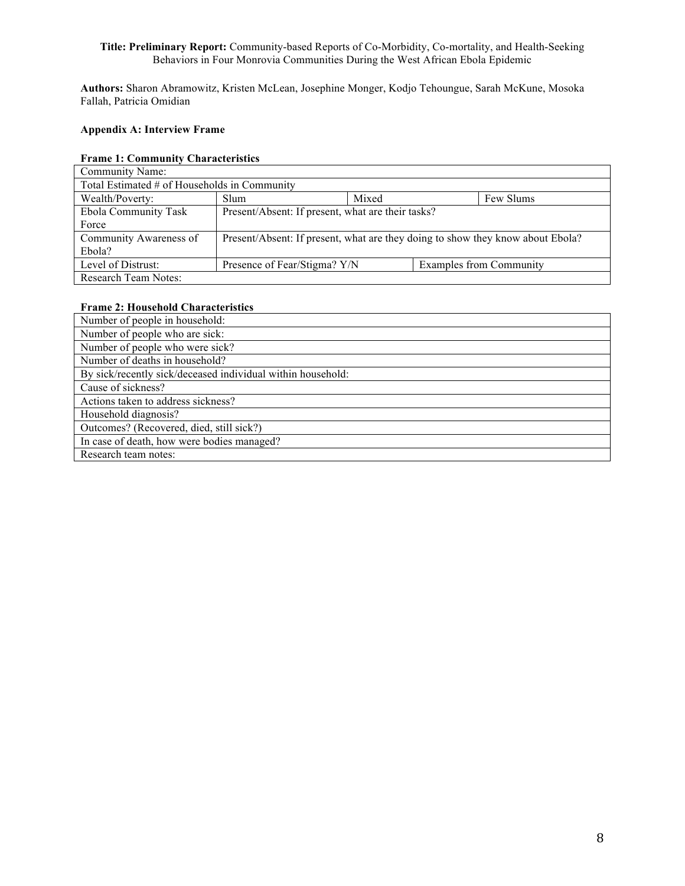**Authors:** Sharon Abramowitz, Kristen McLean, Josephine Monger, Kodjo Tehoungue, Sarah McKune, Mosoka Fallah, Patricia Omidian

## **Appendix A: Interview Frame**

## **Frame 1: Community Characteristics**

| Community Name:                              |                                                                                |       |  |                         |
|----------------------------------------------|--------------------------------------------------------------------------------|-------|--|-------------------------|
| Total Estimated # of Households in Community |                                                                                |       |  |                         |
| Wealth/Poverty:                              | Slum                                                                           | Mixed |  | Few Slums               |
| Ebola Community Task                         | Present/Absent: If present, what are their tasks?                              |       |  |                         |
| Force                                        |                                                                                |       |  |                         |
| Community Awareness of                       | Present/Absent: If present, what are they doing to show they know about Ebola? |       |  |                         |
| Ebola?                                       |                                                                                |       |  |                         |
| Level of Distrust:                           | Presence of Fear/Stigma? Y/N                                                   |       |  | Examples from Community |
| <b>Research Team Notes:</b>                  |                                                                                |       |  |                         |

## **Frame 2: Household Characteristics**

| Number of people in household:                              |
|-------------------------------------------------------------|
| Number of people who are sick:                              |
| Number of people who were sick?                             |
| Number of deaths in household?                              |
| By sick/recently sick/deceased individual within household: |
| Cause of sickness?                                          |
| Actions taken to address sickness?                          |
| Household diagnosis?                                        |
| Outcomes? (Recovered, died, still sick?)                    |
| In case of death, how were bodies managed?                  |
| Research team notes:                                        |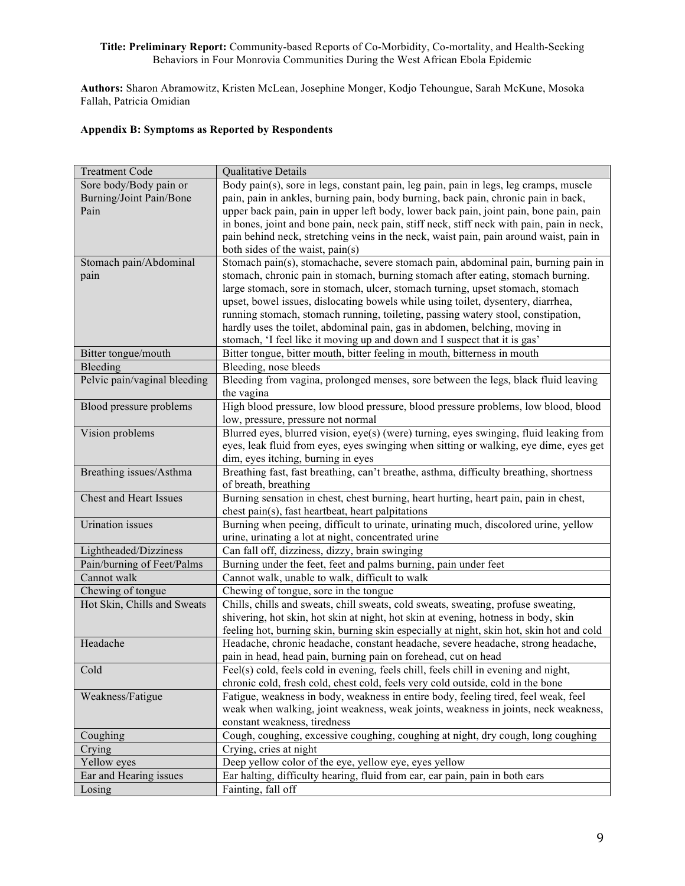**Authors:** Sharon Abramowitz, Kristen McLean, Josephine Monger, Kodjo Tehoungue, Sarah McKune, Mosoka Fallah, Patricia Omidian

# **Appendix B: Symptoms as Reported by Respondents**

| <b>Treatment Code</b>         | Qualitative Details                                                                       |
|-------------------------------|-------------------------------------------------------------------------------------------|
| Sore body/Body pain or        | Body pain(s), sore in legs, constant pain, leg pain, pain in legs, leg cramps, muscle     |
| Burning/Joint Pain/Bone       | pain, pain in ankles, burning pain, body burning, back pain, chronic pain in back,        |
| Pain                          | upper back pain, pain in upper left body, lower back pain, joint pain, bone pain, pain    |
|                               | in bones, joint and bone pain, neck pain, stiff neck, stiff neck with pain, pain in neck, |
|                               | pain behind neck, stretching veins in the neck, waist pain, pain around waist, pain in    |
|                               | both sides of the waist, pain(s)                                                          |
| Stomach pain/Abdominal        | Stomach pain(s), stomachache, severe stomach pain, abdominal pain, burning pain in        |
| pain                          | stomach, chronic pain in stomach, burning stomach after eating, stomach burning.          |
|                               | large stomach, sore in stomach, ulcer, stomach turning, upset stomach, stomach            |
|                               | upset, bowel issues, dislocating bowels while using toilet, dysentery, diarrhea,          |
|                               | running stomach, stomach running, toileting, passing watery stool, constipation,          |
|                               | hardly uses the toilet, abdominal pain, gas in abdomen, belching, moving in               |
|                               | stomach, 'I feel like it moving up and down and I suspect that it is gas'                 |
| Bitter tongue/mouth           | Bitter tongue, bitter mouth, bitter feeling in mouth, bitterness in mouth                 |
| Bleeding                      | Bleeding, nose bleeds                                                                     |
| Pelvic pain/vaginal bleeding  | Bleeding from vagina, prolonged menses, sore between the legs, black fluid leaving        |
|                               | the vagina                                                                                |
| Blood pressure problems       | High blood pressure, low blood pressure, blood pressure problems, low blood, blood        |
|                               | low, pressure, pressure not normal                                                        |
| Vision problems               | Blurred eyes, blurred vision, eye(s) (were) turning, eyes swinging, fluid leaking from    |
|                               | eyes, leak fluid from eyes, eyes swinging when sitting or walking, eye dime, eyes get     |
|                               | dim, eyes itching, burning in eyes                                                        |
| Breathing issues/Asthma       | Breathing fast, fast breathing, can't breathe, asthma, difficulty breathing, shortness    |
|                               | of breath, breathing                                                                      |
| <b>Chest and Heart Issues</b> | Burning sensation in chest, chest burning, heart hurting, heart pain, pain in chest,      |
|                               | chest pain(s), fast heartbeat, heart palpitations                                         |
| <b>Urination</b> issues       | Burning when peeing, difficult to urinate, urinating much, discolored urine, yellow       |
|                               | urine, urinating a lot at night, concentrated urine                                       |
| Lightheaded/Dizziness         | Can fall off, dizziness, dizzy, brain swinging                                            |
| Pain/burning of Feet/Palms    | Burning under the feet, feet and palms burning, pain under feet                           |
| Cannot walk                   | Cannot walk, unable to walk, difficult to walk                                            |
| Chewing of tongue             | Chewing of tongue, sore in the tongue                                                     |
| Hot Skin, Chills and Sweats   | Chills, chills and sweats, chill sweats, cold sweats, sweating, profuse sweating,         |
|                               | shivering, hot skin, hot skin at night, hot skin at evening, hotness in body, skin        |
|                               | feeling hot, burning skin, burning skin especially at night, skin hot, skin hot and cold  |
| Headache                      | Headache, chronic headache, constant headache, severe headache, strong headache,          |
|                               | pain in head, head pain, burning pain on forehead, cut on head                            |
| Cold                          | Feel(s) cold, feels cold in evening, feels chill, feels chill in evening and night,       |
|                               | chronic cold, fresh cold, chest cold, feels very cold outside, cold in the bone           |
| Weakness/Fatigue              | Fatigue, weakness in body, weakness in entire body, feeling tired, feel weak, feel        |
|                               | weak when walking, joint weakness, weak joints, weakness in joints, neck weakness,        |
|                               | constant weakness, tiredness                                                              |
| Coughing                      | Cough, coughing, excessive coughing, coughing at night, dry cough, long coughing          |
| Crying                        | Crying, cries at night                                                                    |
| Yellow eyes                   | Deep yellow color of the eye, yellow eye, eyes yellow                                     |
| Ear and Hearing issues        | Ear halting, difficulty hearing, fluid from ear, ear pain, pain in both ears              |
| Losing                        | Fainting, fall off                                                                        |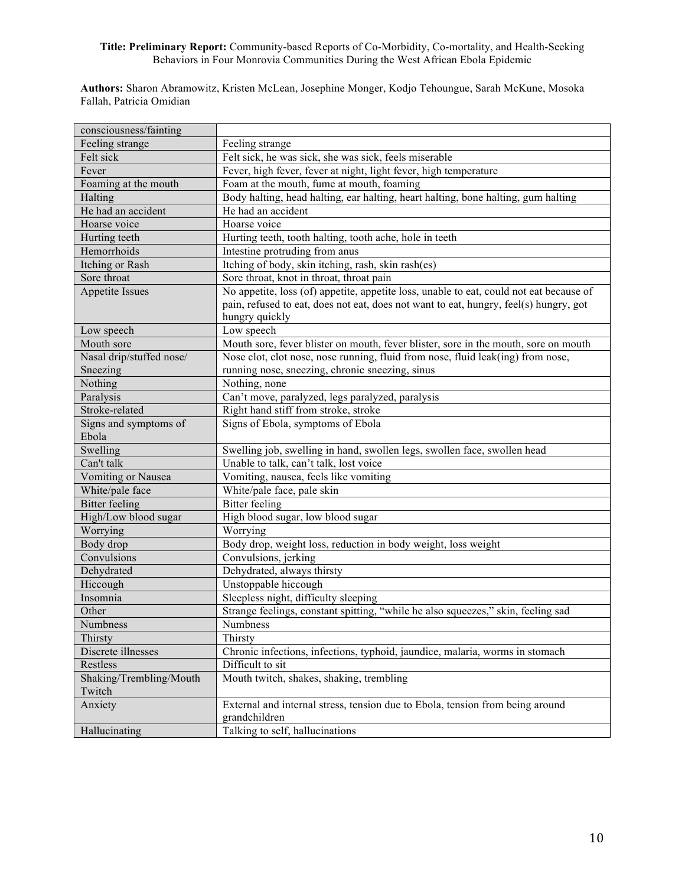**Authors:** Sharon Abramowitz, Kristen McLean, Josephine Monger, Kodjo Tehoungue, Sarah McKune, Mosoka Fallah, Patricia Omidian

| consciousness/fainting   |                                                                                         |
|--------------------------|-----------------------------------------------------------------------------------------|
| Feeling strange          | Feeling strange                                                                         |
| Felt sick                | Felt sick, he was sick, she was sick, feels miserable                                   |
| Fever                    | Fever, high fever, fever at night, light fever, high temperature                        |
| Foaming at the mouth     | Foam at the mouth, fume at mouth, foaming                                               |
| Halting                  | Body halting, head halting, ear halting, heart halting, bone halting, gum halting       |
| He had an accident       | He had an accident                                                                      |
| Hoarse voice             | Hoarse voice                                                                            |
| Hurting teeth            | Hurting teeth, tooth halting, tooth ache, hole in teeth                                 |
| Hemorrhoids              | Intestine protruding from anus                                                          |
| Itching or Rash          | Itching of body, skin itching, rash, skin rash(es)                                      |
| Sore throat              | Sore throat, knot in throat, throat pain                                                |
| <b>Appetite Issues</b>   | No appetite, loss (of) appetite, appetite loss, unable to eat, could not eat because of |
|                          | pain, refused to eat, does not eat, does not want to eat, hungry, feel(s) hungry, got   |
|                          | hungry quickly                                                                          |
| Low speech               | Low speech                                                                              |
| Mouth sore               | Mouth sore, fever blister on mouth, fever blister, sore in the mouth, sore on mouth     |
| Nasal drip/stuffed nose/ | Nose clot, clot nose, nose running, fluid from nose, fluid leak(ing) from nose,         |
| Sneezing                 | running nose, sneezing, chronic sneezing, sinus                                         |
| Nothing                  | Nothing, none                                                                           |
| Paralysis                | Can't move, paralyzed, legs paralyzed, paralysis                                        |
| Stroke-related           | Right hand stiff from stroke, stroke                                                    |
| Signs and symptoms of    | Signs of Ebola, symptoms of Ebola                                                       |
| Ebola                    |                                                                                         |
| Swelling                 | Swelling job, swelling in hand, swollen legs, swollen face, swollen head                |
| Can't talk               | Unable to talk, can't talk, lost voice                                                  |
| Vomiting or Nausea       | Vomiting, nausea, feels like vomiting                                                   |
| White/pale face          | White/pale face, pale skin                                                              |
| <b>Bitter</b> feeling    | <b>Bitter</b> feeling                                                                   |
| High/Low blood sugar     | High blood sugar, low blood sugar                                                       |
| Worrying                 | Worrying                                                                                |
| Body drop                | Body drop, weight loss, reduction in body weight, loss weight                           |
| Convulsions              | Convulsions, jerking                                                                    |
| Dehydrated               | Dehydrated, always thirsty                                                              |
| Hiccough                 | Unstoppable hiccough                                                                    |
| Insomnia                 | Sleepless night, difficulty sleeping                                                    |
| Other                    | Strange feelings, constant spitting, "while he also squeezes," skin, feeling sad        |
| Numbness                 | Numbness                                                                                |
| Thirsty                  | Thirsty                                                                                 |
| Discrete illnesses       | Chronic infections, infections, typhoid, jaundice, malaria, worms in stomach            |
| Restless                 | Difficult to sit                                                                        |
| Shaking/Trembling/Mouth  | Mouth twitch, shakes, shaking, trembling                                                |
| Twitch                   |                                                                                         |
| Anxiety                  | External and internal stress, tension due to Ebola, tension from being around           |
|                          | grandchildren                                                                           |
| Hallucinating            | Talking to self, hallucinations                                                         |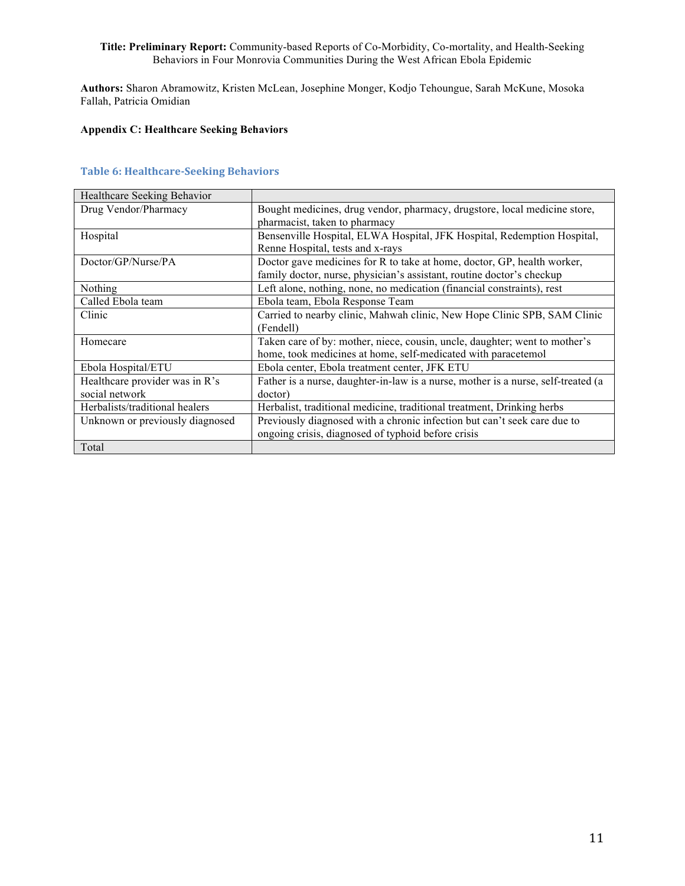**Authors:** Sharon Abramowitz, Kristen McLean, Josephine Monger, Kodjo Tehoungue, Sarah McKune, Mosoka Fallah, Patricia Omidian

# **Appendix C: Healthcare Seeking Behaviors**

## **Table 6: Healthcare-Seeking Behaviors**

| Healthcare Seeking Behavior     |                                                                                   |
|---------------------------------|-----------------------------------------------------------------------------------|
| Drug Vendor/Pharmacy            | Bought medicines, drug vendor, pharmacy, drugstore, local medicine store,         |
|                                 | pharmacist, taken to pharmacy                                                     |
| Hospital                        | Bensenville Hospital, ELWA Hospital, JFK Hospital, Redemption Hospital,           |
|                                 | Renne Hospital, tests and x-rays                                                  |
| Doctor/GP/Nurse/PA              | Doctor gave medicines for R to take at home, doctor, GP, health worker,           |
|                                 | family doctor, nurse, physician's assistant, routine doctor's checkup             |
| Nothing                         | Left alone, nothing, none, no medication (financial constraints), rest            |
| Called Ebola team               | Ebola team, Ebola Response Team                                                   |
| Clinic                          | Carried to nearby clinic, Mahwah clinic, New Hope Clinic SPB, SAM Clinic          |
|                                 | (Fendell)                                                                         |
| Homecare                        | Taken care of by: mother, niece, cousin, uncle, daughter; went to mother's        |
|                                 | home, took medicines at home, self-medicated with paracetemol                     |
| Ebola Hospital/ETU              | Ebola center, Ebola treatment center, JFK ETU                                     |
| Healthcare provider was in R's  | Father is a nurse, daughter-in-law is a nurse, mother is a nurse, self-treated (a |
| social network                  | doctor)                                                                           |
| Herbalists/traditional healers  | Herbalist, traditional medicine, traditional treatment, Drinking herbs            |
| Unknown or previously diagnosed | Previously diagnosed with a chronic infection but can't seek care due to          |
|                                 | ongoing crisis, diagnosed of typhoid before crisis                                |
| Total                           |                                                                                   |